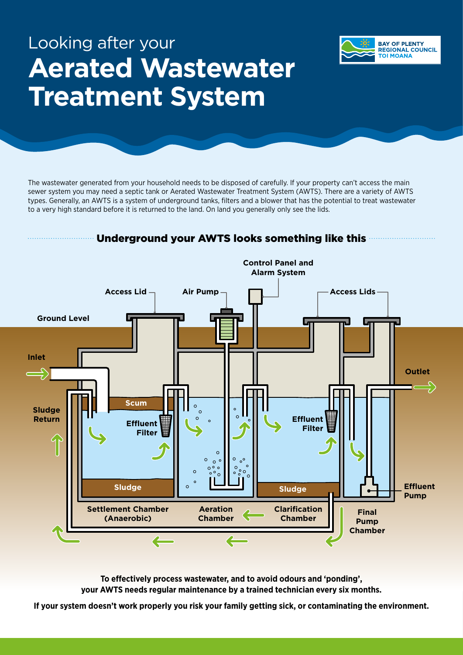# **Aerated Wastewater Treatment System** Looking after your

The wastewater generated from your household needs to be disposed of carefully. If your property can't access the main sewer system you may need a septic tank or Aerated Wastewater Treatment System (AWTS). There are a variety of AWTS types. Generally, an AWTS is a system of underground tanks, filters and a blower that has the potential to treat wastewater to a very high standard before it is returned to the land. On land you generally only see the lids.

**BAY OF PLENTY REGIONAL COUNCIL TOI MOANA** 



**To effectively process wastewater, and to avoid odours and 'ponding', your AWTS needs regular maintenance by a trained technician every six months.**

**If your system doesn't work properly you risk your family getting sick, or contaminating the environment.**